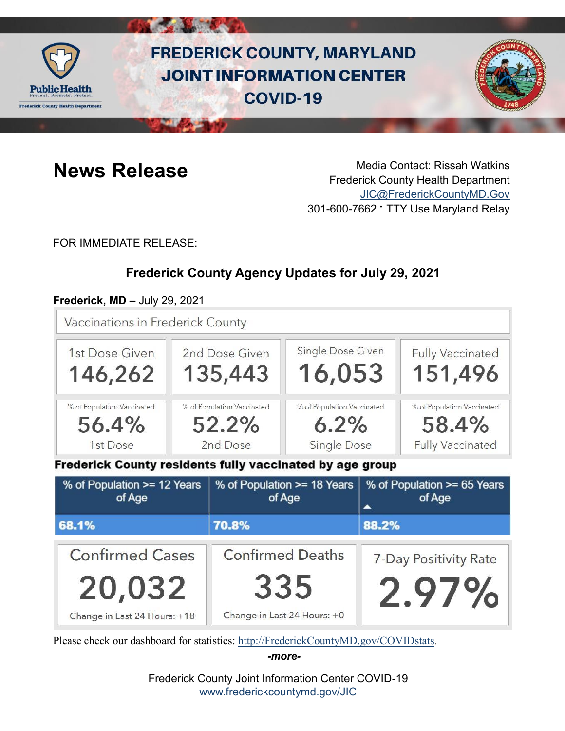

# **FREDERICK COUNTY, MARYLAND JOINT INFORMATION CENTER COVID-19**



**News Release** Media Contact: Rissah Watkins Frederick County Health Department [JIC@FrederickCountyMD.Gov](mailto:JIC@FrederickCountyMD.Gov) 301-600-7662 • TTY Use Maryland Relay

FOR IMMEDIATE RELEASE:

# **Frederick County Agency Updates for July 29, 2021**

#### **Frederick, MD –** July 29, 2021

Vaccinations in Frederick County



Frederick County residents fully vaccinated by age group

| % of Population >= 12 Years<br>of Age | % of Population >= 18 Years<br>of Age | % of Population >= 65 Years<br>of Age |
|---------------------------------------|---------------------------------------|---------------------------------------|
| 68.1%                                 | 70.8%                                 | 88.2%                                 |
| <b>Confirmed Cases</b>                | <b>Confirmed Deaths</b>               | 7-Day Positivity Rate                 |
| 20,032                                | 335                                   | 2.97%                                 |
| Change in Last 24 Hours: +18          | Change in Last 24 Hours: +0           |                                       |

Please check our dashboard for statistics: [http://FrederickCountyMD.gov/COVIDstats.](http://frederickcountymd.gov/COVIDstats)

*-more-*

Frederick County Joint Information Center COVID-19 [www.frederickcountymd.gov/JIC](https://frederickcountymd.gov/JIC)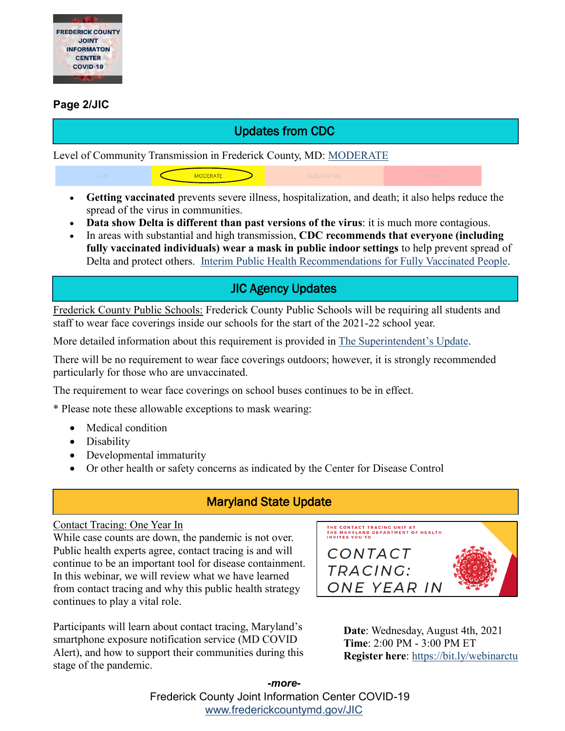

#### **Page 2/JIC**

# Updates from CDC

Level of Community Transmission in Frederick County, MD: [MODERATE](https://covid.cdc.gov/covid-data-tracker/#county-view)

**MODERATE** 

- **Getting vaccinated** prevents severe illness, hospitalization, and death; it also helps reduce the spread of the virus in communities.
- **Data show Delta is different than past versions of the virus**: it is much more contagious.
- In areas with substantial and high transmission, **CDC recommends that everyone (including fully vaccinated individuals) wear a mask in public indoor settings** to help prevent spread of Delta and protect others. [Interim Public Health Recommendations for Fully Vaccinated People.](https://www.cdc.gov/coronavirus/2019-ncov/vaccines/fully-vaccinated-guidance.html)

# JIC Agency Updates

Frederick County Public Schools: Frederick County Public Schools will be requiring all students and staff to wear face coverings inside our schools for the start of the 2021-22 school year.

More detailed information about this requirement is provided in [The Superintendent's Update.](https://fcps.ezcommunicator.net/edu/frederick/view_newsletter.aspx?app=0&id=12257)

There will be no requirement to wear face coverings outdoors; however, it is strongly recommended particularly for those who are unvaccinated.

The requirement to wear face coverings on school buses continues to be in effect.

\* Please note these allowable exceptions to mask wearing:

- Medical condition
- Disability
- Developmental immaturity
- Or other health or safety concerns as indicated by the Center for Disease Control

#### Maryland State Update

#### Contact Tracing: One Year In

While case counts are down, the pandemic is not over. Public health experts agree, contact tracing is and will continue to be an important tool for disease containment. In this webinar, we will review what we have learned from contact tracing and why this public health strategy continues to play a vital role.

Participants will learn about contact tracing, Maryland's smartphone exposure notification service (MD COVID Alert), and how to support their communities during this stage of the pandemic.



**Date**: Wednesday, August 4th, 2021 **Time**: 2:00 PM - 3:00 PM ET **Register here**: <https://bit.ly/webinarctu>

Frederick County Joint Information Center COVID-19 [www.frederickcountymd.gov/JIC](https://frederickcountymd.gov/JIC) *-more-*